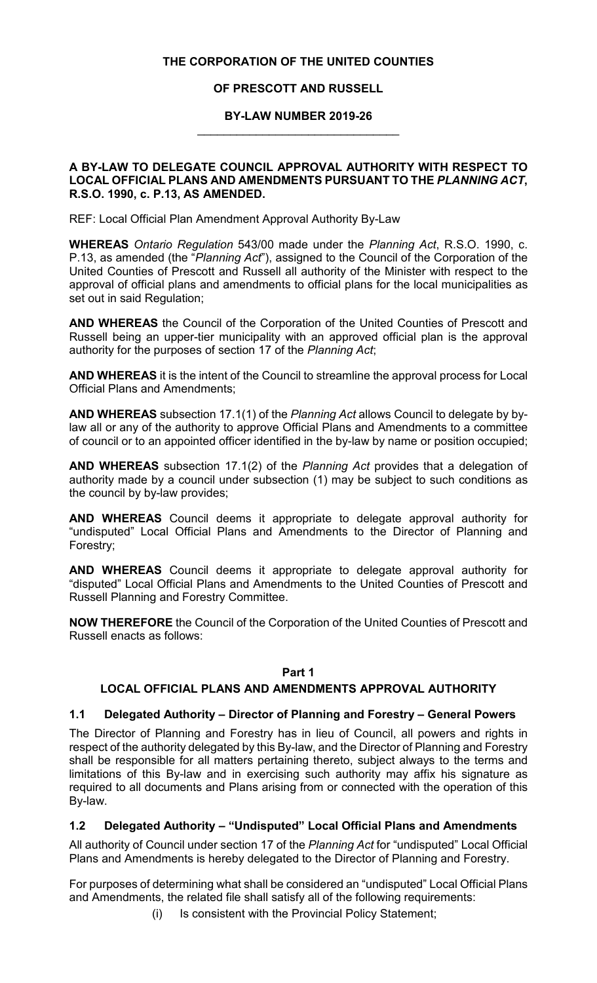#### **THE CORPORATION OF THE UNITED COUNTIES**

### **OF PRESCOTT AND RUSSELL**

#### **BY-LAW NUMBER 2019-26** \_\_\_\_\_\_\_\_\_\_\_\_\_\_\_\_\_\_\_\_\_\_\_\_\_\_\_\_\_\_\_

#### **A BY-LAW TO DELEGATE COUNCIL APPROVAL AUTHORITY WITH RESPECT TO LOCAL OFFICIAL PLANS AND AMENDMENTS PURSUANT TO THE** *PLANNING ACT***, R.S.O. 1990, c. P.13, AS AMENDED.**

REF: Local Official Plan Amendment Approval Authority By-Law

**WHEREAS** *Ontario Regulation* 543/00 made under the *Planning Act*, R.S.O. 1990, c. P.13, as amended (the "*Planning Act*"), assigned to the Council of the Corporation of the United Counties of Prescott and Russell all authority of the Minister with respect to the approval of official plans and amendments to official plans for the local municipalities as set out in said Regulation;

**AND WHEREAS** the Council of the Corporation of the United Counties of Prescott and Russell being an upper-tier municipality with an approved official plan is the approval authority for the purposes of section 17 of the *Planning Act*;

**AND WHEREAS** it is the intent of the Council to streamline the approval process for Local Official Plans and Amendments;

**AND WHEREAS** subsection 17.1(1) of the *Planning Act* allows Council to delegate by bylaw all or any of the authority to approve Official Plans and Amendments to a committee of council or to an appointed officer identified in the by-law by name or position occupied;

**AND WHEREAS** subsection 17.1(2) of the *Planning Act* provides that a delegation of authority made by a council under subsection (1) may be subject to such conditions as the council by by-law provides;

**AND WHEREAS** Council deems it appropriate to delegate approval authority for "undisputed" Local Official Plans and Amendments to the Director of Planning and Forestry;

**AND WHEREAS** Council deems it appropriate to delegate approval authority for "disputed" Local Official Plans and Amendments to the United Counties of Prescott and Russell Planning and Forestry Committee.

**NOW THEREFORE** the Council of the Corporation of the United Counties of Prescott and Russell enacts as follows:

### **Part 1**

### **LOCAL OFFICIAL PLANS AND AMENDMENTS APPROVAL AUTHORITY**

### **1.1 Delegated Authority – Director of Planning and Forestry – General Powers**

The Director of Planning and Forestry has in lieu of Council, all powers and rights in respect of the authority delegated by this By-law, and the Director of Planning and Forestry shall be responsible for all matters pertaining thereto, subject always to the terms and limitations of this By-law and in exercising such authority may affix his signature as required to all documents and Plans arising from or connected with the operation of this By-law.

### **1.2 Delegated Authority – "Undisputed" Local Official Plans and Amendments**

All authority of Council under section 17 of the *Planning Act* for "undisputed" Local Official Plans and Amendments is hereby delegated to the Director of Planning and Forestry.

For purposes of determining what shall be considered an "undisputed" Local Official Plans and Amendments, the related file shall satisfy all of the following requirements:

(i) Is consistent with the Provincial Policy Statement;